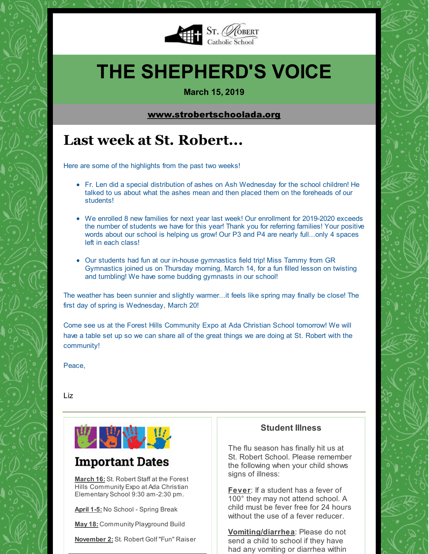

## **THE SHEPHERD'S VOICE**

**March 15, 2019**

#### [www.strobertschoolada.org](http://strobertschoolada.org)

## **Last week at St. Robert...**

Here are some of the highlights from the past two weeks!

- Fr. Len did a special distribution of ashes on Ash Wednesday for the school children! He talked to us about what the ashes mean and then placed them on the foreheads of our students!
- We enrolled 8 new families for next year last week! Our enrollment for 2019-2020 exceeds the number of students we have for this year! Thank you for referring families! Your positive words about our school is helping us grow! Our P3 and P4 are nearly full...only 4 spaces left in each class!
- Our students had fun at our in-house gymnastics field trip! Miss Tammy from GR Gymnastics joined us on Thursday morning, March 14, for a fun filled lesson on twisting and tumbling! We have some budding gymnasts in our school!

The weather has been sunnier and slightly warmer...it feels like spring may finally be close! The first day of spring is Wednesday, March 20!

Come see us at the Forest Hills Community Expo at Ada Christian School tomorrow! We will have a table set up so we can share all of the great things we are doing at St. Robert with the community!

Peace,

Liz



### **Important Dates**

**March 16:** St. Robert Staff at the Forest Hills Community Expo at Ada Christian Elementary School 9:30 am-2:30 pm.

**April 1-5:** No School - Spring Break

**May 18:** Community Playground Build

**November 2:** St. Robert Golf "Fun" Raiser

#### **Student Illness**

The flu season has finally hit us at St. Robert School. Please remember the following when your child shows signs of illness:

**Fever**: If a student has a fever of 100° they may not attend school. A child must be fever free for 24 hours without the use of a fever reducer

**Vomiting/diarrhea**: Please do not send a child to school if they have had any vomiting or diarrhea within